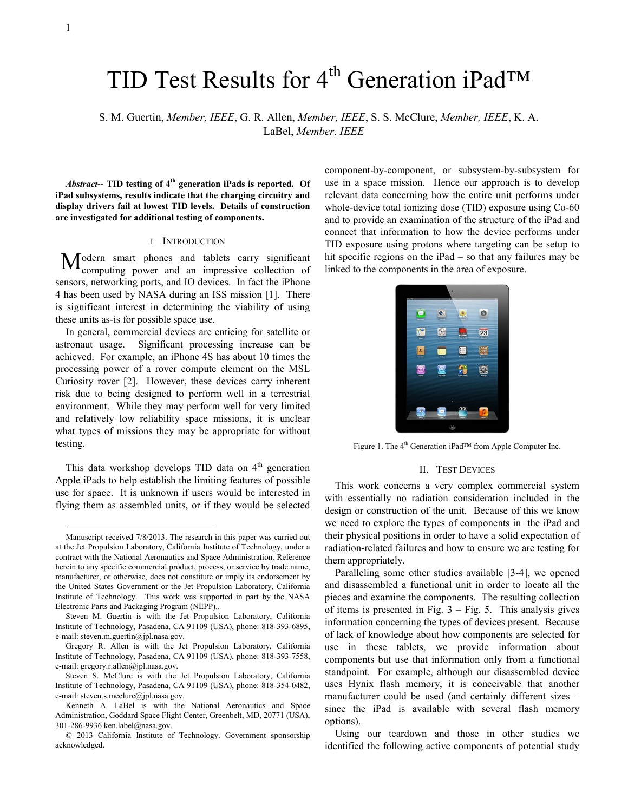-

# TID Test Results for  $4<sup>th</sup>$  Generation iPad<sup>TM</sup>

S. M. Guertin, *Member, IEEE*, G. R. Allen, *Member, IEEE*, S. S. McClure, *Member, IEEE*, K. A. LaBel, *Member, IEEE*

*Abstract***-- TID testing of 4th generation iPads is reported. Of iPad subsystems, results indicate that the charging circuitry and display drivers fail at lowest TID levels. Details of construction are investigated for additional testing of components.**

#### I. INTRODUCTION

odern smart phones and tablets carry significant Modern smart phones and tablets carry significant computing power and an impressive collection of sensors, networking ports, and IO devices. In fact the iPhone 4 has been used by NASA during an ISS mission [1]. There is significant interest in determining the viability of using these units as-is for possible space use.

In general, commercial devices are enticing for satellite or astronaut usage. Significant processing increase can be achieved. For example, an iPhone 4S has about 10 times the processing power of a rover compute element on the MSL Curiosity rover [2]. However, these devices carry inherent risk due to being designed to perform well in a terrestrial environment. While they may perform well for very limited and relatively low reliability space missions, it is unclear what types of missions they may be appropriate for without testing.

This data workshop develops TID data on  $4<sup>th</sup>$  generation Apple iPads to help establish the limiting features of possible use for space. It is unknown if users would be interested in flying them as assembled units, or if they would be selected

component-by-component, or subsystem-by-subsystem for use in a space mission. Hence our approach is to develop relevant data concerning how the entire unit performs under whole-device total ionizing dose (TID) exposure using  $Co-60$ and to provide an examination of the structure of the iPad and connect that information to how the device performs under TID exposure using protons where targeting can be setup to hit specific regions on the iPad – so that any failures may be linked to the components in the area of exposure.



Figure 1. The 4<sup>th</sup> Generation iPad<sup>™</sup> from Apple Computer Inc.

#### II. TEST DEVICES

This work concerns a very complex commercial system with essentially no radiation consideration included in the design or construction of the unit. Because of this we know we need to explore the types of components in the iPad and their physical positions in order to have a solid expectation of radiation-related failures and how to ensure we are testing for them appropriately.

Paralleling some other studies available [3-4], we opened and disassembled a functional unit in order to locate all the pieces and examine the components. The resulting collection of items is presented in Fig.  $3 - Fig. 5$ . This analysis gives information concerning the types of devices present. Because of lack of knowledge about how components are selected for use in these tablets, we provide information about components but use that information only from a functional standpoint. For example, although our disassembled device uses Hynix flash memory, it is conceivable that another manufacturer could be used (and certainly different sizes – since the iPad is available with several flash memory options).

Using our teardown and those in other studies we identified the following active components of potential study

Manuscript received 7/8/2013. The research in this paper was carried out at the Jet Propulsion Laboratory, California Institute of Technology, under a contract with the National Aeronautics and Space Administration. Reference herein to any specific commercial product, process, or service by trade name, manufacturer, or otherwise, does not constitute or imply its endorsement by the United States Government or the Jet Propulsion Laboratory, California Institute of Technology. This work was supported in part by the NASA Electronic Parts and Packaging Program (NEPP)..

Steven M. Guertin is with the Jet Propulsion Laboratory, California Institute of Technology, Pasadena, CA 91109 (USA), phone: 818-393-6895, e-mail[: steven.m.guertin@jpl.nasa.gov.](mailto:steven.m.guertin@jpl.nasa.gov) 

Gregory R. Allen is with the Jet Propulsion Laboratory, California Institute of Technology, Pasadena, CA 91109 (USA), phone: 818-393-7558, e-mail[: gregory.r.allen@jpl.nasa.gov.](mailto:steven.m.guertin@jpl.nasa.gov) 

Steven S. McClure is with the Jet Propulsion Laboratory, California Institute of Technology, Pasadena, CA 91109 (USA), phone: 818-354-0482, e-mail: steven.s.mcclure@jpl.nasa.gov.

Kenneth A. LaBel is with the National Aeronautics and Space Administration, Goddard Space Flight Center, Greenbelt, MD, 20771 (USA), 301-286-9936 ken.label@nasa.gov.

<sup>© 2013</sup> California Institute of Technology. Government sponsorship acknowledged.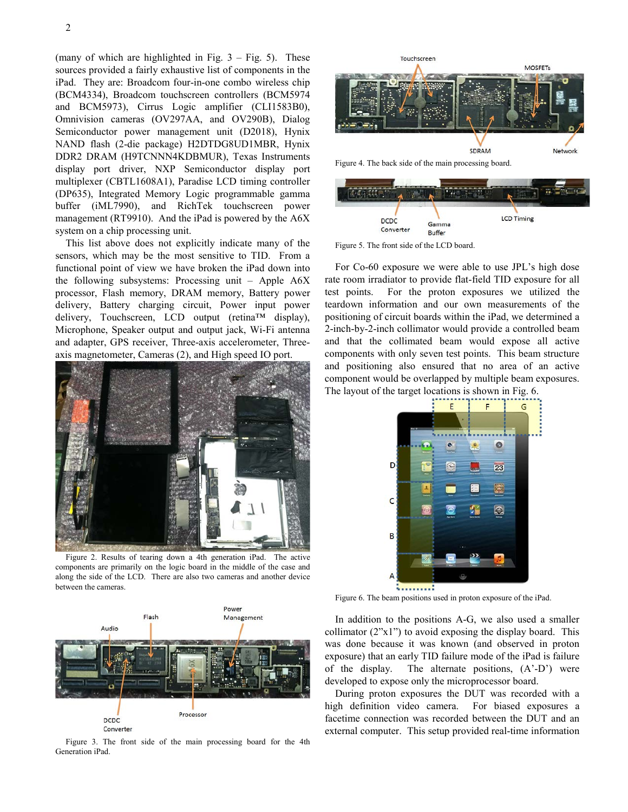(many of which are highlighted in Fig.  $3 - Fig. 5$ ). These sources provided a fairly exhaustive list of components in the iPad. They are: Broadcom four-in-one combo wireless chip (BCM4334), Broadcom touchscreen controllers (BCM5974 and BCM5973), Cirrus Logic amplifier (CLI1583B0), Omnivision cameras (OV297AA, and OV290B), Dialog Semiconductor power management unit (D2018), Hynix NAND flash (2-die package) H2DTDG8UD1MBR, Hynix DDR2 DRAM (H9TCNNN4KDBMUR), Texas Instruments display port driver, NXP Semiconductor display port multiplexer (CBTL1608A1), Paradise LCD timing controller (DP635), Integrated Memory Logic programmable gamma buffer (iML7990), and RichTek touchscreen power management (RT9910). And the iPad is powered by the A6X system on a chip processing unit.

This list above does not explicitly indicate many of the sensors, which may be the most sensitive to TID. From a functional point of view we have broken the iPad down into the following subsystems: Processing unit – Apple A6X processor, Flash memory, DRAM memory, Battery power delivery, Battery charging circuit, Power input power delivery, Touchscreen, LCD output (retina™ display), Microphone, Speaker output and output jack, Wi-Fi antenna and adapter, GPS receiver, Three-axis accelerometer, Threeaxis magnetometer, Cameras (2), and High speed IO port.



Figure 2. Results of tearing down a 4th generation iPad. The active components are primarily on the logic board in the middle of the case and along the side of the LCD. There are also two cameras and another device between the cameras.



<span id="page-1-0"></span>Figure 3. The front side of the main processing board for the 4th Generation iPad.



Figure 4. The back side of the main processing board.



<span id="page-1-1"></span>Figure 5. The front side of the LCD board.

For Co-60 exposure we were able to use JPL's high dose rate room irradiator to provide flat-field TID exposure for all test points. For the proton exposures we utilized the teardown information and our own measurements of the positioning of circuit boards within the iPad, we determined a 2-inch-by-2-inch collimator would provide a controlled beam and that the collimated beam would expose all active components with only seven test points. This beam structure and positioning also ensured that no area of an active component would be overlapped by multiple beam exposures. The layout of the target locations is shown in [Fig. 6.](#page-1-2)



<span id="page-1-2"></span>Figure 6. The beam positions used in proton exposure of the iPad.

In addition to the positions A-G, we also used a smaller collimator (2"x1") to avoid exposing the display board. This was done because it was known (and observed in proton exposure) that an early TID failure mode of the iPad is failure of the display. The alternate positions, (A'-D') were developed to expose only the microprocessor board.

During proton exposures the DUT was recorded with a high definition video camera. For biased exposures a facetime connection was recorded between the DUT and an external computer. This setup provided real-time information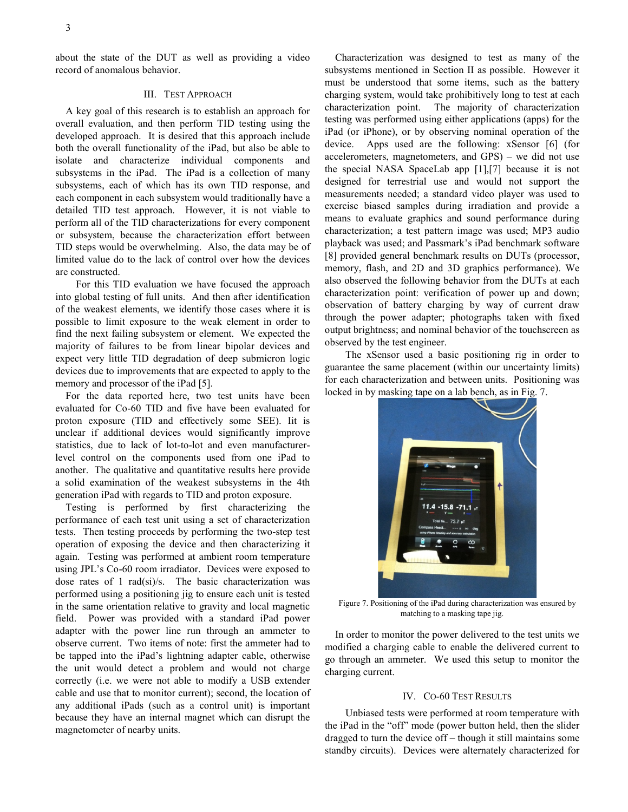about the state of the DUT as well as providing a video record of anomalous behavior.

### III. TEST APPROACH

A key goal of this research is to establish an approach for overall evaluation, and then perform TID testing using the developed approach. It is desired that this approach include both the overall functionality of the iPad, but also be able to isolate and characterize individual components and subsystems in the iPad. The iPad is a collection of many subsystems, each of which has its own TID response, and each component in each subsystem would traditionally have a detailed TID test approach. However, it is not viable to perform all of the TID characterizations for every component or subsystem, because the characterization effort between TID steps would be overwhelming. Also, the data may be of limited value do to the lack of control over how the devices are constructed.

For this TID evaluation we have focused the approach into global testing of full units. And then after identification of the weakest elements, we identify those cases where it is possible to limit exposure to the weak element in order to find the next failing subsystem or element. We expected the majority of failures to be from linear bipolar devices and expect very little TID degradation of deep submicron logic devices due to improvements that are expected to apply to the memory and processor of the iPad [5].

For the data reported here, two test units have been evaluated for Co-60 TID and five have been evaluated for proton exposure (TID and effectively some SEE). Iit is unclear if additional devices would significantly improve statistics, due to lack of lot-to-lot and even manufacturerlevel control on the components used from one iPad to another. The qualitative and quantitative results here provide a solid examination of the weakest subsystems in the 4th generation iPad with regards to TID and proton exposure.

Testing is performed by first characterizing the performance of each test unit using a set of characterization tests. Then testing proceeds by performing the two-step test operation of exposing the device and then characterizing it again. Testing was performed at ambient room temperature using JPL's Co-60 room irradiator. Devices were exposed to dose rates of 1 rad(si)/s. The basic characterization was performed using a positioning jig to ensure each unit is tested in the same orientation relative to gravity and local magnetic field. Power was provided with a standard iPad power adapter with the power line run through an ammeter to observe current. Two items of note: first the ammeter had to be tapped into the iPad's lightning adapter cable, otherwise the unit would detect a problem and would not charge correctly (i.e. we were not able to modify a USB extender cable and use that to monitor current); second, the location of any additional iPads (such as a control unit) is important because they have an internal magnet which can disrupt the magnetometer of nearby units.

Characterization was designed to test as many of the subsystems mentioned in Section II as possible. However it must be understood that some items, such as the battery charging system, would take prohibitively long to test at each characterization point. The majority of characterization testing was performed using either applications (apps) for the iPad (or iPhone), or by observing nominal operation of the device. Apps used are the following: xSensor [6] (for accelerometers, magnetometers, and GPS) – we did not use the special NASA SpaceLab app [1],[7] because it is not designed for terrestrial use and would not support the measurements needed; a standard video player was used to exercise biased samples during irradiation and provide a means to evaluate graphics and sound performance during characterization; a test pattern image was used; MP3 audio playback was used; and Passmark's iPad benchmark software [8] provided general benchmark results on DUTs (processor, memory, flash, and 2D and 3D graphics performance). We also observed the following behavior from the DUTs at each characterization point: verification of power up and down; observation of battery charging by way of current draw through the power adapter; photographs taken with fixed output brightness; and nominal behavior of the touchscreen as observed by the test engineer.

The xSensor used a basic positioning rig in order to guarantee the same placement (within our uncertainty limits) for each characterization and between units. Positioning was locked in by masking tape on a lab bench, as in [Fig. 7.](#page-2-0)



Figure 7. Positioning of the iPad during characterization was ensured by matching to a masking tape jig.

<span id="page-2-0"></span>In order to monitor the power delivered to the test units we modified a charging cable to enable the delivered current to go through an ammeter. We used this setup to monitor the charging current.

#### IV. CO-60 TEST RESULTS

Unbiased tests were performed at room temperature with the iPad in the "off" mode (power button held, then the slider dragged to turn the device off – though it still maintains some standby circuits). Devices were alternately characterized for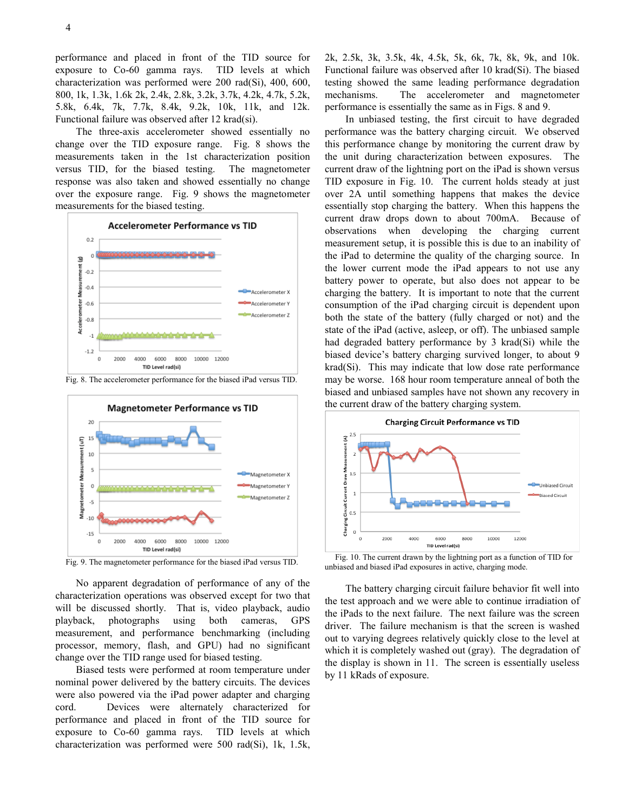performance and placed in front of the TID source for exposure to Co-60 gamma rays. TID levels at which characterization was performed were 200 rad(Si), 400, 600, 800, 1k, 1.3k, 1.6k 2k, 2.4k, 2.8k, 3.2k, 3.7k, 4.2k, 4.7k, 5.2k, 5.8k, 6.4k, 7k, 7.7k, 8.4k, 9.2k, 10k, 11k, and 12k. Functional failure was observed after 12 krad(si).

The three-axis accelerometer showed essentially no change over the TID exposure range. [Fig. 8](#page-3-0) shows the measurements taken in the 1st characterization position versus TID, for the biased testing. The magnetometer response was also taken and showed essentially no change over the exposure range. [Fig. 9](#page-3-1) shows the magnetometer measurements for the biased testing.



<span id="page-3-0"></span>Fig. 8. The accelerometer performance for the biased iPad versus TID.



<span id="page-3-1"></span>Fig. 9. The magnetometer performance for the biased iPad versus TID.

No apparent degradation of performance of any of the characterization operations was observed except for two that will be discussed shortly. That is, video playback, audio playback, photographs using both cameras, GPS measurement, and performance benchmarking (including processor, memory, flash, and GPU) had no significant change over the TID range used for biased testing.

Biased tests were performed at room temperature under nominal power delivered by the battery circuits. The devices were also powered via the iPad power adapter and charging cord. Devices were alternately characterized for performance and placed in front of the TID source for exposure to Co-60 gamma rays. TID levels at which characterization was performed were 500 rad(Si), 1k, 1.5k,

2k, 2.5k, 3k, 3.5k, 4k, 4.5k, 5k, 6k, 7k, 8k, 9k, and 10k. Functional failure was observed after 10 krad(Si). The biased testing showed the same leading performance degradation mechanisms. The accelerometer and magnetometer performance is essentially the same as in Figs. 8 and 9.

In unbiased testing, the first circuit to have degraded performance was the battery charging circuit. We observed this performance change by monitoring the current draw by the unit during characterization between exposures. The current draw of the lightning port on the iPad is shown versus TID exposure in Fig. 10. The current holds steady at just over 2A until something happens that makes the device essentially stop charging the battery. When this happens the current draw drops down to about 700mA. Because of observations when developing the charging current measurement setup, it is possible this is due to an inability of the iPad to determine the quality of the charging source. In the lower current mode the iPad appears to not use any battery power to operate, but also does not appear to be charging the battery. It is important to note that the current consumption of the iPad charging circuit is dependent upon both the state of the battery (fully charged or not) and the state of the iPad (active, asleep, or off). The unbiased sample had degraded battery performance by 3 krad(Si) while the biased device's battery charging survived longer, to about 9 krad(Si). This may indicate that low dose rate performance may be worse. 168 hour room temperature anneal of both the biased and unbiased samples have not shown any recovery in the current draw of the battery charging system.



Fig. 10. The current drawn by the lightning port as a function of TID for unbiased and biased iPad exposures in active, charging mode.

The battery charging circuit failure behavior fit well into the test approach and we were able to continue irradiation of the iPads to the next failure. The next failure was the screen driver. The failure mechanism is that the screen is washed out to varying degrees relatively quickly close to the level at which it is completely washed out (gray). The degradation of the display is shown in 11. The screen is essentially useless by 11 kRads of exposure.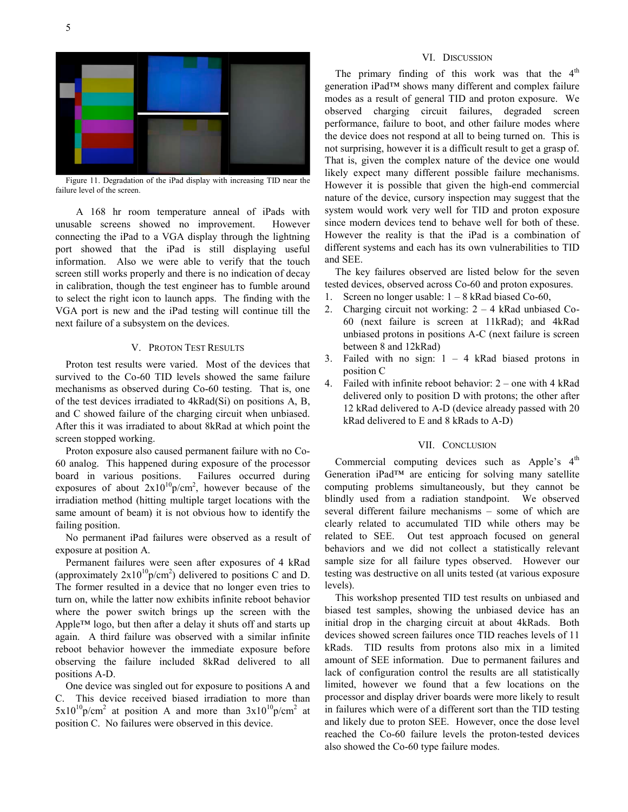

Figure 11. Degradation of the iPad display with increasing TID near the failure level of the screen.

A 168 hr room temperature anneal of iPads with unusable screens showed no improvement. However connecting the iPad to a VGA display through the lightning port showed that the iPad is still displaying useful information. Also we were able to verify that the touch screen still works properly and there is no indication of decay in calibration, though the test engineer has to fumble around to select the right icon to launch apps. The finding with the VGA port is new and the iPad testing will continue till the next failure of a subsystem on the devices.

# V. PROTON TEST RESULTS

Proton test results were varied. Most of the devices that survived to the Co-60 TID levels showed the same failure mechanisms as observed during Co-60 testing. That is, one of the test devices irradiated to 4kRad(Si) on positions A, B, and C showed failure of the charging circuit when unbiased. After this it was irradiated to about 8kRad at which point the screen stopped working.

Proton exposure also caused permanent failure with no Co-60 analog. This happened during exposure of the processor board in various positions. Failures occurred during exposures of about  $2x10^{10}p/cm^2$ , however because of the irradiation method (hitting multiple target locations with the same amount of beam) it is not obvious how to identify the failing position.

No permanent iPad failures were observed as a result of exposure at position A.

Permanent failures were seen after exposures of 4 kRad (approximately  $2x10^{10}p/cm^2$ ) delivered to positions C and D. The former resulted in a device that no longer even tries to turn on, while the latter now exhibits infinite reboot behavior where the power switch brings up the screen with the Apple™ logo, but then after a delay it shuts off and starts up again. A third failure was observed with a similar infinite reboot behavior however the immediate exposure before observing the failure included 8kRad delivered to all positions A-D.

One device was singled out for exposure to positions A and C. This device received biased irradiation to more than  $5x10^{10}p/cm^2$  at position A and more than  $3x10^{10}p/cm^2$  at position C. No failures were observed in this device.

#### VI. DISCUSSION

The primary finding of this work was that the  $4<sup>th</sup>$ generation iPad™ shows many different and complex failure modes as a result of general TID and proton exposure. We observed charging circuit failures, degraded screen performance, failure to boot, and other failure modes where the device does not respond at all to being turned on. This is not surprising, however it is a difficult result to get a grasp of. That is, given the complex nature of the device one would likely expect many different possible failure mechanisms. However it is possible that given the high-end commercial nature of the device, cursory inspection may suggest that the system would work very well for TID and proton exposure since modern devices tend to behave well for both of these. However the reality is that the iPad is a combination of different systems and each has its own vulnerabilities to TID and SEE.

The key failures observed are listed below for the seven tested devices, observed across Co-60 and proton exposures.

- 1. Screen no longer usable: 1 8 kRad biased Co-60,
- 2. Charging circuit not working: 2 4 kRad unbiased Co-60 (next failure is screen at 11kRad); and 4kRad unbiased protons in positions A-C (next failure is screen between 8 and 12kRad)
- 3. Failed with no sign:  $1 4$  kRad biased protons in position C
- 4. Failed with infinite reboot behavior: 2 one with 4 kRad delivered only to position D with protons; the other after 12 kRad delivered to A-D (device already passed with 20 kRad delivered to E and 8 kRads to A-D)

## VII. CONCLUSION

Commercial computing devices such as Apple's 4<sup>th</sup> Generation iPad™ are enticing for solving many satellite computing problems simultaneously, but they cannot be blindly used from a radiation standpoint. We observed several different failure mechanisms – some of which are clearly related to accumulated TID while others may be related to SEE. Out test approach focused on general behaviors and we did not collect a statistically relevant sample size for all failure types observed. However our testing was destructive on all units tested (at various exposure levels).

This workshop presented TID test results on unbiased and biased test samples, showing the unbiased device has an initial drop in the charging circuit at about 4kRads. Both devices showed screen failures once TID reaches levels of 11 kRads. TID results from protons also mix in a limited amount of SEE information. Due to permanent failures and lack of configuration control the results are all statistically limited, however we found that a few locations on the processor and display driver boards were more likely to result in failures which were of a different sort than the TID testing and likely due to proton SEE. However, once the dose level reached the Co-60 failure levels the proton-tested devices also showed the Co-60 type failure modes.